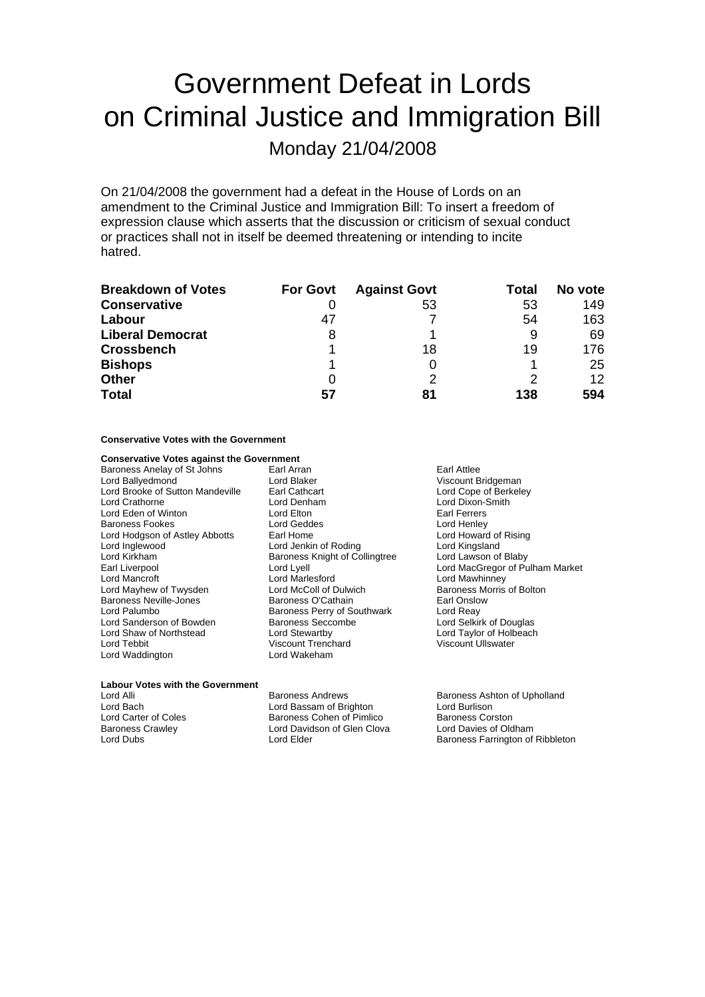## Government Defeat in Lords on Criminal Justice and Immigration Bill

Monday 21/04/2008

On 21/04/2008 the government had a defeat in the House of Lords on an amendment to the Criminal Justice and Immigration Bill: To insert a freedom of expression clause which asserts that the discussion or criticism of sexual conduct or practices shall not in itself be deemed threatening or intending to incite hatred.

| <b>Breakdown of Votes</b> | <b>For Govt</b> | <b>Against Govt</b> | Total | No vote         |
|---------------------------|-----------------|---------------------|-------|-----------------|
| <b>Conservative</b>       |                 | 53                  | 53    | 149             |
| Labour                    | 47              |                     | 54    | 163             |
| <b>Liberal Democrat</b>   | 8               |                     | 9     | 69              |
| <b>Crossbench</b>         |                 | 18                  | 19    | 176             |
| <b>Bishops</b>            |                 |                     |       | 25              |
| <b>Other</b>              |                 |                     |       | 12 <sup>2</sup> |
| <b>Total</b>              | 57              | 81                  | 138   | 594             |

## **Conservative Votes with the Government**

## **Conservative Votes against the Government**

Baroness Anelay of St Johns Earl Arran Earl Attlee Lord Ballyedmond<br>
Lord Brooke of Sutton Mandeville 
Lord Cope of Berkeley

Lord Cope of Berkeley

Lord Cope of Berkeley

Lord Cope of Berkeley

Lord Cope of Berkeley

Lord Cope of Berkeley Lord Brooke of Sutton Mandeville Earl Cathcart<br>
Lord Crathorne **Lord Denham** Lord Eden of Winton **Lord Elton** Baroness Fookes **Lord Henley**<br>
Lord Hodgson of Astley Abbotts Earl Home **Lord Henley**<br>
Lord Howard of Rising Lord Hodgson of Astley Abbotts<br>Lord Inglewood Lord Kirkham Baroness Knight of Collingtree<br>
Earl Liverpool Baroness Knight of Collingtree Lord Mayhew of Twysden Baroness Neville-Jones **Baroness O'Cathain**<br>
Lord Palumbo **Baroness Perry of Southwark** Lord Reay Lord Sanderson of Bowden Lord Shaw of Northstead Lord Stewartby Lord Taylor of Holbeach Lord Tebbit Viscount Trenchard Viscount Ullswater Lord Waddington

Lord Jenkin of Roding Lord Kingsland<br>Baroness Knight of Collingtree Lord Lawson of Blaby Lord Marlesford<br>
Lord McColl of Dulwich<br>
Baroness Morris of Bolton Baroness Perry of Southwark Lord Reay<br>
Baroness Seccombe Lord Selkirk of Douglas

Lord Dixon-Smith<br>Farl Ferrers Earl Liverpool **Earl Lord Lord Lyell** Lord Lyell Lord MacGregor of Pulham Market<br>
Lord MacCregor Lord Market Lord Market Lord Mawhinnev

**Labour Votes with the Government**<br>Lord Alli

Lord Bach **Lord Bassam of Brighton** Lord Burlison<br>
Lord Carter of Coles **Baroness Colen of Pimlico** Baroness Corston Lord Carter of Coles **Baroness Cohen of Pimlico** Baroness Corston<br>Baroness Crawley **Baroness Conenance Conenance Corporate Corston**<br>Lord Davies of Oldham Lord Davidson of Glen Clova

Baroness Andrews **Baroness Ashton of Upholland** Lord Dubs **Lord Elder Baroness Farrington of Ribbleton**